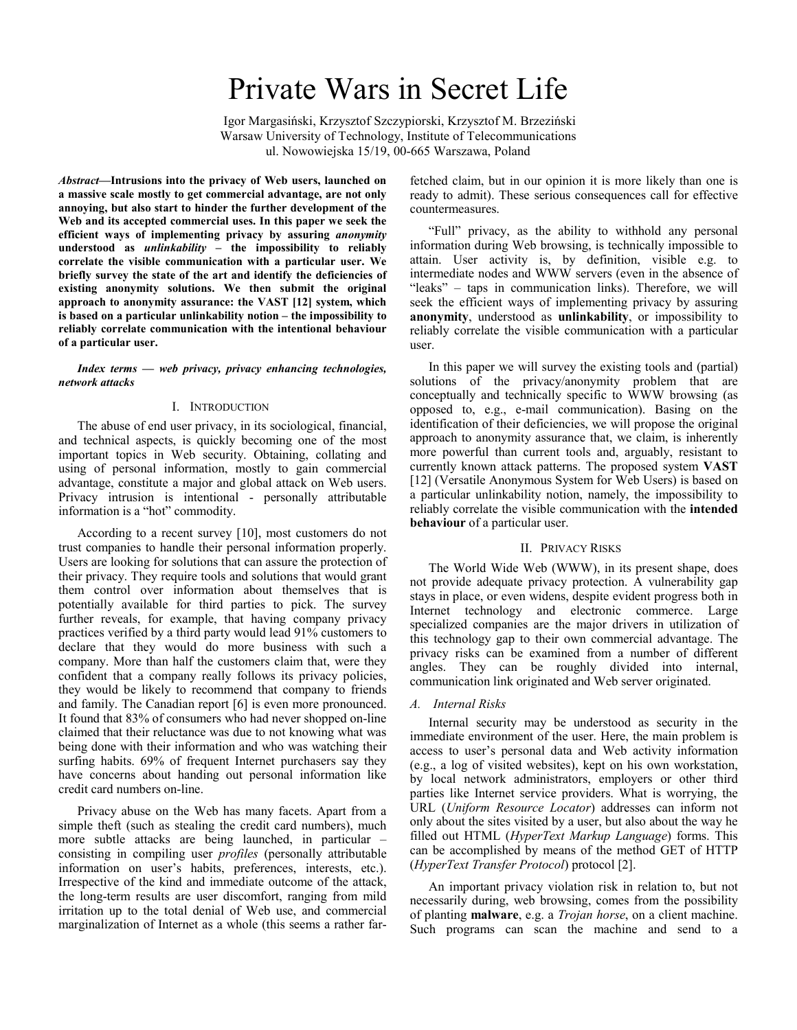# Private Wars in Secret Life

 Igor Margasiński, Krzysztof Szczypiorski, Krzysztof M. Brzeziński Warsaw University of Technology, Institute of Telecommunications ul. Nowowiejska 15/19, 00-665 Warszawa, Poland

*Abstract***—Intrusions into the privacy of Web users, launched on a massive scale mostly to get commercial advantage, are not only annoying, but also start to hinder the further development of the Web and its accepted commercial uses. In this paper we seek the efficient ways of implementing privacy by assuring** *anonymity* **understood as** *unlinkability* **– the impossibility to reliably correlate the visible communication with a particular user. We briefly survey the state of the art and identify the deficiencies of existing anonymity solutions. We then submit the original approach to anonymity assurance: the VAST [12] system, which is based on a particular unlinkability notion – the impossibility to reliably correlate communication with the intentional behaviour of a particular user.** 

*Index terms — web privacy, privacy enhancing technologies, network attacks* 

## I. INTRODUCTION

The abuse of end user privacy, in its sociological, financial, and technical aspects, is quickly becoming one of the most important topics in Web security. Obtaining, collating and using of personal information, mostly to gain commercial advantage, constitute a major and global attack on Web users. Privacy intrusion is intentional - personally attributable information is a "hot" commodity.

According to a recent survey [10], most customers do not trust companies to handle their personal information properly. Users are looking for solutions that can assure the protection of their privacy. They require tools and solutions that would grant them control over information about themselves that is potentially available for third parties to pick. The survey further reveals, for example, that having company privacy practices verified by a third party would lead 91% customers to declare that they would do more business with such a company. More than half the customers claim that, were they confident that a company really follows its privacy policies, they would be likely to recommend that company to friends and family. The Canadian report [6] is even more pronounced. It found that 83% of consumers who had never shopped on-line claimed that their reluctance was due to not knowing what was being done with their information and who was watching their surfing habits. 69% of frequent Internet purchasers say they have concerns about handing out personal information like credit card numbers on-line.

Privacy abuse on the Web has many facets. Apart from a simple theft (such as stealing the credit card numbers), much more subtle attacks are being launched, in particular – consisting in compiling user *profiles* (personally attributable information on user's habits, preferences, interests, etc.). Irrespective of the kind and immediate outcome of the attack, the long-term results are user discomfort, ranging from mild irritation up to the total denial of Web use, and commercial marginalization of Internet as a whole (this seems a rather farfetched claim, but in our opinion it is more likely than one is ready to admit). These serious consequences call for effective countermeasures.

"Full" privacy, as the ability to withhold any personal information during Web browsing, is technically impossible to attain. User activity is, by definition, visible e.g. to intermediate nodes and WWW servers (even in the absence of "leaks" – taps in communication links). Therefore, we will seek the efficient ways of implementing privacy by assuring **anonymity**, understood as **unlinkability**, or impossibility to reliably correlate the visible communication with a particular user.

In this paper we will survey the existing tools and (partial) solutions of the privacy/anonymity problem that are conceptually and technically specific to WWW browsing (as opposed to, e.g., e-mail communication). Basing on the identification of their deficiencies, we will propose the original approach to anonymity assurance that, we claim, is inherently more powerful than current tools and, arguably, resistant to currently known attack patterns. The proposed system **VAST**  [12] (Versatile Anonymous System for Web Users) is based on a particular unlinkability notion, namely, the impossibility to reliably correlate the visible communication with the **intended behaviour** of a particular user.

#### II. PRIVACY RISKS

The World Wide Web (WWW), in its present shape, does not provide adequate privacy protection. A vulnerability gap stays in place, or even widens, despite evident progress both in Internet technology and electronic commerce. Large specialized companies are the major drivers in utilization of this technology gap to their own commercial advantage. The privacy risks can be examined from a number of different angles. They can be roughly divided into internal, communication link originated and Web server originated.

#### *A. Internal Risks*

Internal security may be understood as security in the immediate environment of the user. Here, the main problem is access to user's personal data and Web activity information (e.g., a log of visited websites), kept on his own workstation, by local network administrators, employers or other third parties like Internet service providers. What is worrying, the URL (*Uniform Resource Locator*) addresses can inform not only about the sites visited by a user, but also about the way he filled out HTML (*HyperText Markup Language*) forms. This can be accomplished by means of the method GET of HTTP (*HyperText Transfer Protocol*) protocol [2].

An important privacy violation risk in relation to, but not necessarily during, web browsing, comes from the possibility of planting **malware**, e.g. a *Trojan horse*, on a client machine. Such programs can scan the machine and send to a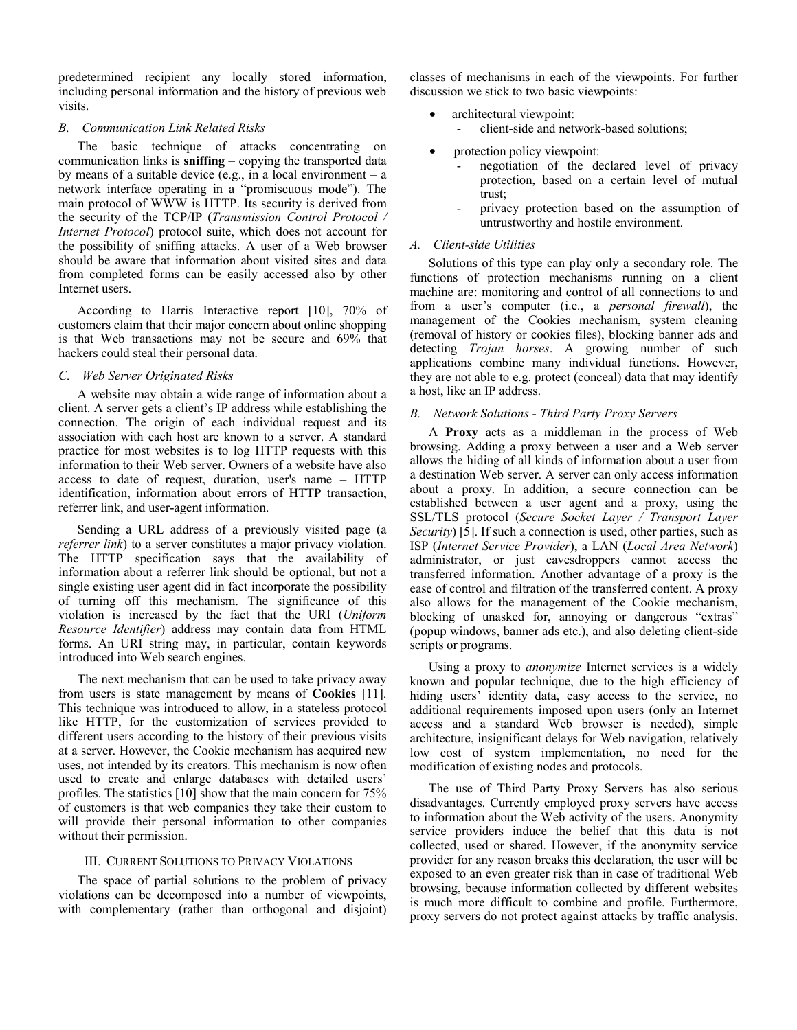predetermined recipient any locally stored information, including personal information and the history of previous web visits.

## *B. Communication Link Related Risks*

The basic technique of attacks concentrating on communication links is **sniffing** – copying the transported data by means of a suitable device (e.g., in a local environment – a network interface operating in a "promiscuous mode"). The main protocol of WWW is HTTP. Its security is derived from the security of the TCP/IP (*Transmission Control Protocol / Internet Protocol*) protocol suite, which does not account for the possibility of sniffing attacks. A user of a Web browser should be aware that information about visited sites and data from completed forms can be easily accessed also by other Internet users.

According to Harris Interactive report [10], 70% of customers claim that their major concern about online shopping is that Web transactions may not be secure and 69% that hackers could steal their personal data.

### *C. Web Server Originated Risks*

A website may obtain a wide range of information about a client. A server gets a client's IP address while establishing the connection. The origin of each individual request and its association with each host are known to a server. A standard practice for most websites is to log HTTP requests with this information to their Web server. Owners of a website have also access to date of request, duration, user's name – HTTP identification, information about errors of HTTP transaction, referrer link, and user-agent information.

Sending a URL address of a previously visited page (a *referrer link*) to a server constitutes a major privacy violation. The HTTP specification says that the availability of information about a referrer link should be optional, but not a single existing user agent did in fact incorporate the possibility of turning off this mechanism. The significance of this violation is increased by the fact that the URI (*Uniform Resource Identifier*) address may contain data from HTML forms. An URI string may, in particular, contain keywords introduced into Web search engines.

The next mechanism that can be used to take privacy away from users is state management by means of **Cookies** [11]. This technique was introduced to allow, in a stateless protocol like HTTP, for the customization of services provided to different users according to the history of their previous visits at a server. However, the Cookie mechanism has acquired new uses, not intended by its creators. This mechanism is now often used to create and enlarge databases with detailed users' profiles. The statistics [10] show that the main concern for 75% of customers is that web companies they take their custom to will provide their personal information to other companies without their permission.

#### III. CURRENT SOLUTIONS TO PRIVACY VIOLATIONS

The space of partial solutions to the problem of privacy violations can be decomposed into a number of viewpoints, with complementary (rather than orthogonal and disjoint) classes of mechanisms in each of the viewpoints. For further discussion we stick to two basic viewpoints:

- architectural viewpoint:
	- client-side and network-based solutions;
- protection policy viewpoint:
	- negotiation of the declared level of privacy protection, based on a certain level of mutual trust;
	- privacy protection based on the assumption of untrustworthy and hostile environment.

# *A. Client-side Utilities*

Solutions of this type can play only a secondary role. The functions of protection mechanisms running on a client machine are: monitoring and control of all connections to and from a user's computer (i.e., a *personal firewall*), the management of the Cookies mechanism, system cleaning (removal of history or cookies files), blocking banner ads and detecting *Trojan horses*. A growing number of such applications combine many individual functions. However, they are not able to e.g. protect (conceal) data that may identify a host, like an IP address.

## *B. Network Solutions - Third Party Proxy Servers*

A **Proxy** acts as a middleman in the process of Web browsing. Adding a proxy between a user and a Web server allows the hiding of all kinds of information about a user from a destination Web server. A server can only access information about a proxy. In addition, a secure connection can be established between a user agent and a proxy, using the SSL/TLS protocol (*Secure Socket Layer / Transport Layer Security*) [5]. If such a connection is used, other parties, such as ISP (*Internet Service Provider*), a LAN (*Local Area Network*) administrator, or just eavesdroppers cannot access the transferred information. Another advantage of a proxy is the ease of control and filtration of the transferred content. A proxy also allows for the management of the Cookie mechanism, blocking of unasked for, annoying or dangerous "extras" (popup windows, banner ads etc.), and also deleting client-side scripts or programs.

Using a proxy to *anonymize* Internet services is a widely known and popular technique, due to the high efficiency of hiding users' identity data, easy access to the service, no additional requirements imposed upon users (only an Internet access and a standard Web browser is needed), simple architecture, insignificant delays for Web navigation, relatively low cost of system implementation, no need for the modification of existing nodes and protocols.

The use of Third Party Proxy Servers has also serious disadvantages. Currently employed proxy servers have access to information about the Web activity of the users. Anonymity service providers induce the belief that this data is not collected, used or shared. However, if the anonymity service provider for any reason breaks this declaration, the user will be exposed to an even greater risk than in case of traditional Web browsing, because information collected by different websites is much more difficult to combine and profile. Furthermore, proxy servers do not protect against attacks by traffic analysis.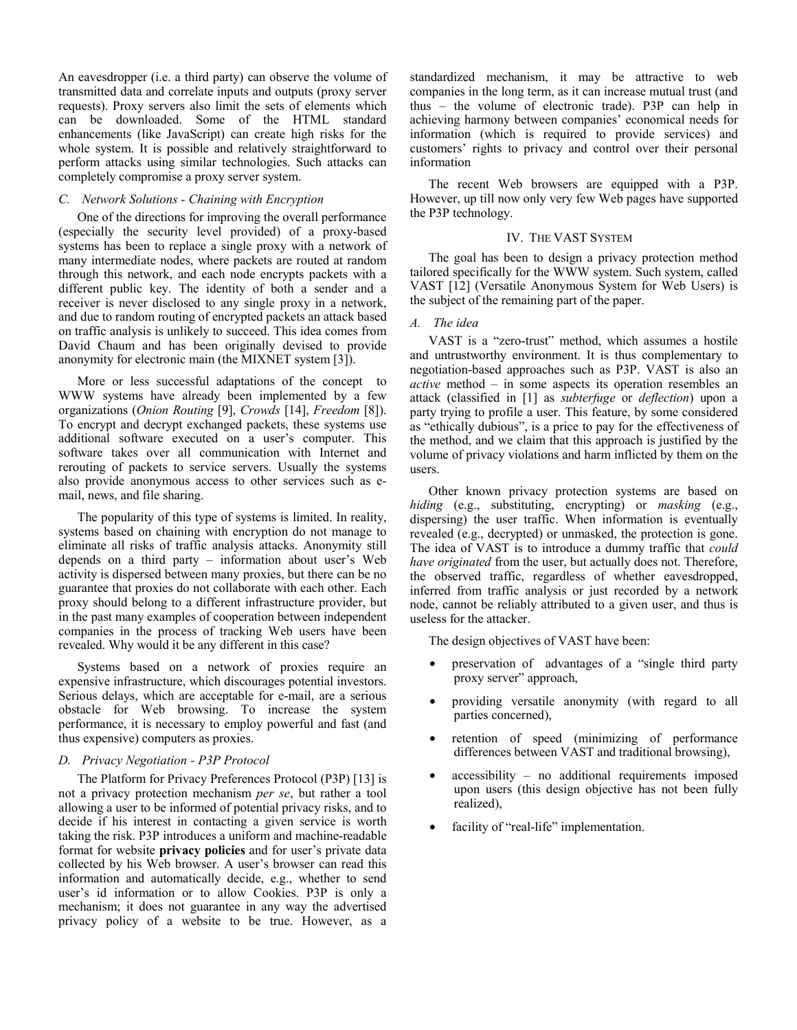An eavesdropper (i.e. a third party) can observe the volume of transmitted data and correlate inputs and outputs (proxy server requests). Proxy servers also limit the sets of elements which can be downloaded. Some of the HTML standard enhancements (like JavaScript) can create high risks for the whole system. It is possible and relatively straightforward to perform attacks using similar technologies. Such attacks can completely compromise a proxy server system.

## *C. Network Solutions - Chaining with Encryption*

One of the directions for improving the overall performance (especially the security level provided) of a proxy-based systems has been to replace a single proxy with a network of many intermediate nodes, where packets are routed at random through this network, and each node encrypts packets with a different public key. The identity of both a sender and a receiver is never disclosed to any single proxy in a network, and due to random routing of encrypted packets an attack based on traffic analysis is unlikely to succeed. This idea comes from David Chaum and has been originally devised to provide anonymity for electronic main (the MIXNET system [3]).

More or less successful adaptations of the concept to WWW systems have already been implemented by a few organizations (*Onion Routing* [9], *Crowds* [14], *Freedom* [8]). To encrypt and decrypt exchanged packets, these systems use additional software executed on a user's computer. This software takes over all communication with Internet and rerouting of packets to service servers. Usually the systems also provide anonymous access to other services such as email, news, and file sharing.

The popularity of this type of systems is limited. In reality, systems based on chaining with encryption do not manage to eliminate all risks of traffic analysis attacks. Anonymity still depends on a third party – information about user's Web activity is dispersed between many proxies, but there can be no guarantee that proxies do not collaborate with each other. Each proxy should belong to a different infrastructure provider, but in the past many examples of cooperation between independent companies in the process of tracking Web users have been revealed. Why would it be any different in this case?

Systems based on a network of proxies require an expensive infrastructure, which discourages potential investors. Serious delays, which are acceptable for e-mail, are a serious obstacle for Web browsing. To increase the system performance, it is necessary to employ powerful and fast (and thus expensive) computers as proxies.

#### *D. Privacy Negotiation - P3P Protocol*

The Platform for Privacy Preferences Protocol (P3P) [13] is not a privacy protection mechanism *per se*, but rather a tool allowing a user to be informed of potential privacy risks, and to decide if his interest in contacting a given service is worth taking the risk. P3P introduces a uniform and machine-readable format for website **privacy policies** and for user's private data collected by his Web browser. A user's browser can read this information and automatically decide, e.g., whether to send user's id information or to allow Cookies. P3P is only a mechanism; it does not guarantee in any way the advertised privacy policy of a website to be true. However, as a

standardized mechanism, it may be attractive to web companies in the long term, as it can increase mutual trust (and thus – the volume of electronic trade). P3P can help in achieving harmony between companies' economical needs for information (which is required to provide services) and customers' rights to privacy and control over their personal information

The recent Web browsers are equipped with a P3P. However, up till now only very few Web pages have supported the P3P technology.

## IV. THE VAST SYSTEM

The goal has been to design a privacy protection method tailored specifically for the WWW system. Such system, called VAST [12] (Versatile Anonymous System for Web Users) is the subject of the remaining part of the paper.

## *A. The idea*

VAST is a "zero-trust" method, which assumes a hostile and untrustworthy environment. It is thus complementary to negotiation-based approaches such as P3P. VAST is also an *active* method – in some aspects its operation resembles an attack (classified in [1] as *subterfuge* or *deflection*) upon a party trying to profile a user. This feature, by some considered as "ethically dubious", is a price to pay for the effectiveness of the method, and we claim that this approach is justified by the volume of privacy violations and harm inflicted by them on the users.

Other known privacy protection systems are based on *hiding* (e.g., substituting, encrypting) or *masking* (e.g., dispersing) the user traffic. When information is eventually revealed (e.g., decrypted) or unmasked, the protection is gone. The idea of VAST is to introduce a dummy traffic that *could have originated* from the user, but actually does not. Therefore, the observed traffic, regardless of whether eavesdropped, inferred from traffic analysis or just recorded by a network node, cannot be reliably attributed to a given user, and thus is useless for the attacker.

The design objectives of VAST have been:

- preservation of advantages of a "single third party proxy server" approach,
- providing versatile anonymity (with regard to all parties concerned),
- retention of speed (minimizing of performance differences between VAST and traditional browsing),
- $accessibility no additional requirements imposed$ upon users (this design objective has not been fully realized),
- facility of "real-life" implementation.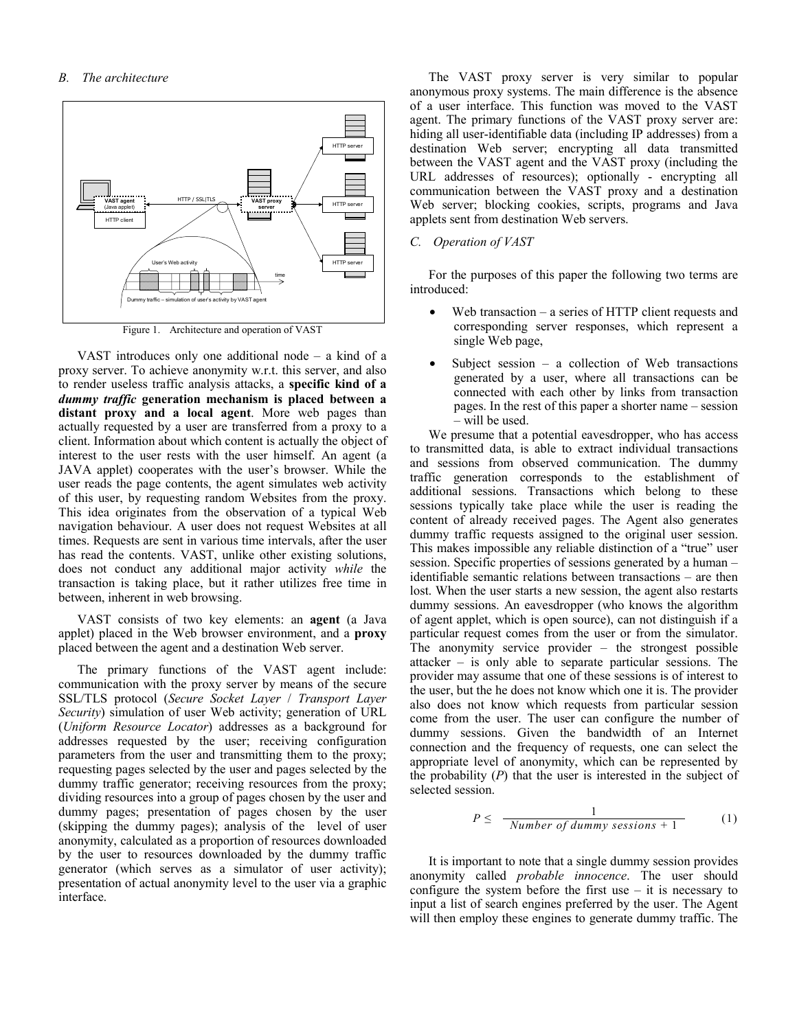

Figure 1. Architecture and operation of VAST

VAST introduces only one additional node – a kind of a proxy server. To achieve anonymity w.r.t. this server, and also to render useless traffic analysis attacks, a **specific kind of a**  *dummy traffic* **generation mechanism is placed between a distant proxy and a local agent**. More web pages than actually requested by a user are transferred from a proxy to a client. Information about which content is actually the object of interest to the user rests with the user himself. An agent (a JAVA applet) cooperates with the user's browser. While the user reads the page contents, the agent simulates web activity of this user, by requesting random Websites from the proxy. This idea originates from the observation of a typical Web navigation behaviour. A user does not request Websites at all times. Requests are sent in various time intervals, after the user has read the contents. VAST, unlike other existing solutions, does not conduct any additional major activity *while* the transaction is taking place, but it rather utilizes free time in between, inherent in web browsing.

VAST consists of two key elements: an **agent** (a Java applet) placed in the Web browser environment, and a **proxy**  placed between the agent and a destination Web server.

The primary functions of the VAST agent include: communication with the proxy server by means of the secure SSL/TLS protocol (*Secure Socket Layer* / *Transport Layer Security*) simulation of user Web activity; generation of URL (*Uniform Resource Locator*) addresses as a background for addresses requested by the user; receiving configuration parameters from the user and transmitting them to the proxy; requesting pages selected by the user and pages selected by the dummy traffic generator; receiving resources from the proxy; dividing resources into a group of pages chosen by the user and dummy pages; presentation of pages chosen by the user (skipping the dummy pages); analysis of the level of user anonymity, calculated as a proportion of resources downloaded by the user to resources downloaded by the dummy traffic generator (which serves as a simulator of user activity); presentation of actual anonymity level to the user via a graphic interface.

The VAST proxy server is very similar to popular anonymous proxy systems. The main difference is the absence of a user interface. This function was moved to the VAST agent. The primary functions of the VAST proxy server are: hiding all user-identifiable data (including IP addresses) from a destination Web server; encrypting all data transmitted between the VAST agent and the VAST proxy (including the URL addresses of resources); optionally - encrypting all communication between the VAST proxy and a destination Web server; blocking cookies, scripts, programs and Java applets sent from destination Web servers.

#### *C. Operation of VAST*

For the purposes of this paper the following two terms are introduced:

- Web transaction a series of HTTP client requests and corresponding server responses, which represent a single Web page,
- Subject session  $-$  a collection of Web transactions generated by a user, where all transactions can be connected with each other by links from transaction pages. In the rest of this paper a shorter name – session – will be used.

We presume that a potential eavesdropper, who has access to transmitted data, is able to extract individual transactions and sessions from observed communication. The dummy traffic generation corresponds to the establishment of additional sessions. Transactions which belong to these sessions typically take place while the user is reading the content of already received pages. The Agent also generates dummy traffic requests assigned to the original user session. This makes impossible any reliable distinction of a "true" user session. Specific properties of sessions generated by a human – identifiable semantic relations between transactions – are then lost. When the user starts a new session, the agent also restarts dummy sessions. An eavesdropper (who knows the algorithm of agent applet, which is open source), can not distinguish if a particular request comes from the user or from the simulator. The anonymity service provider – the strongest possible attacker – is only able to separate particular sessions. The provider may assume that one of these sessions is of interest to the user, but the he does not know which one it is. The provider also does not know which requests from particular session come from the user. The user can configure the number of dummy sessions. Given the bandwidth of an Internet connection and the frequency of requests, one can select the appropriate level of anonymity, which can be represented by the probability (*P*) that the user is interested in the subject of selected session.

$$
P \leq \frac{1}{Number of dummy sessions + 1}
$$
 (1)

It is important to note that a single dummy session provides anonymity called *probable innocence*. The user should configure the system before the first use  $-$  it is necessary to input a list of search engines preferred by the user. The Agent will then employ these engines to generate dummy traffic. The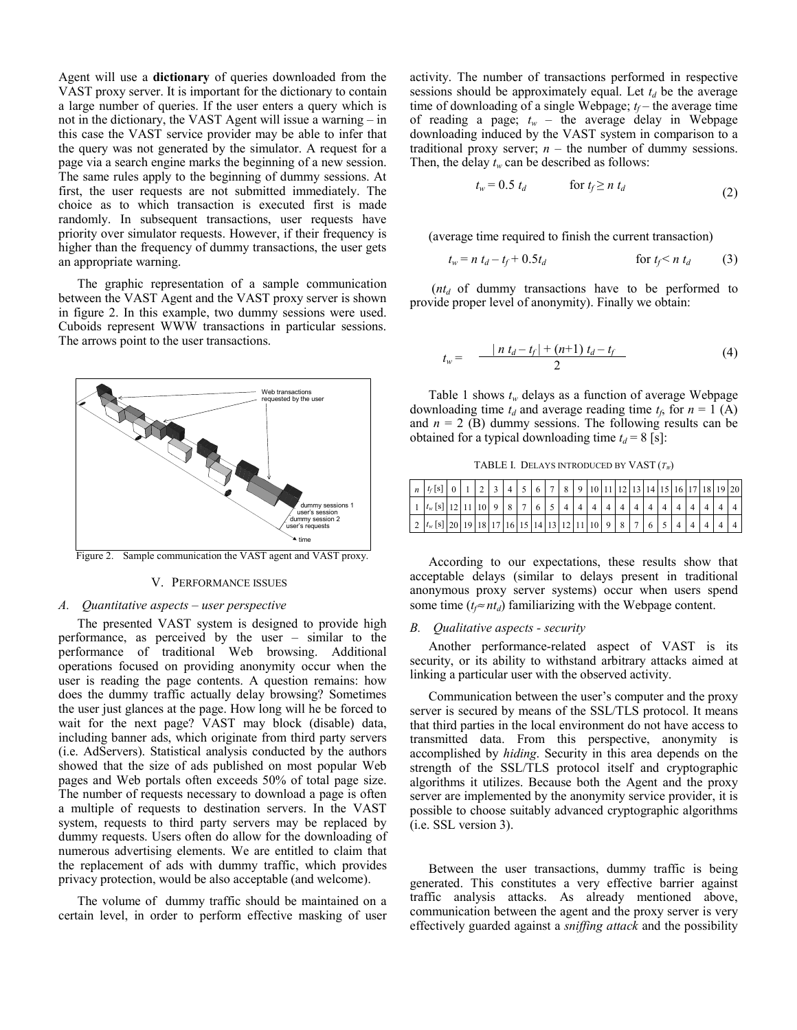Agent will use a **dictionary** of queries downloaded from the VAST proxy server. It is important for the dictionary to contain a large number of queries. If the user enters a query which is not in the dictionary, the VAST Agent will issue a warning – in this case the VAST service provider may be able to infer that the query was not generated by the simulator. A request for a page via a search engine marks the beginning of a new session. The same rules apply to the beginning of dummy sessions. At first, the user requests are not submitted immediately. The choice as to which transaction is executed first is made randomly. In subsequent transactions, user requests have priority over simulator requests. However, if their frequency is higher than the frequency of dummy transactions, the user gets an appropriate warning.

The graphic representation of a sample communication between the VAST Agent and the VAST proxy server is shown in figure 2. In this example, two dummy sessions were used. Cuboids represent WWW transactions in particular sessions. The arrows point to the user transactions.



Figure 2. Sample communication the VAST agent and VAST proxy.

#### V. PERFORMANCE ISSUES

#### *A. Quantitative aspects – user perspective*

The presented VAST system is designed to provide high performance, as perceived by the user – similar to the performance of traditional Web browsing. Additional operations focused on providing anonymity occur when the user is reading the page contents. A question remains: how does the dummy traffic actually delay browsing? Sometimes the user just glances at the page. How long will he be forced to wait for the next page? VAST may block (disable) data, including banner ads, which originate from third party servers (i.e. AdServers). Statistical analysis conducted by the authors showed that the size of ads published on most popular Web pages and Web portals often exceeds 50% of total page size. The number of requests necessary to download a page is often a multiple of requests to destination servers. In the VAST system, requests to third party servers may be replaced by dummy requests. Users often do allow for the downloading of numerous advertising elements. We are entitled to claim that the replacement of ads with dummy traffic, which provides privacy protection, would be also acceptable (and welcome).

The volume of dummy traffic should be maintained on a certain level, in order to perform effective masking of user

activity. The number of transactions performed in respective sessions should be approximately equal. Let  $t_d$  be the average time of downloading of a single Webpage;  $t_f$  – the average time of reading a page;  $t_w$  – the average delay in Webpage downloading induced by the VAST system in comparison to a traditional proxy server;  $n -$  the number of dummy sessions. Then, the delay  $t_w$  can be described as follows:

$$
t_w = 0.5 \ t_d \qquad \qquad \text{for } t_f \ge n \ t_d \tag{2}
$$

(average time required to finish the current transaction)

 $t_w = n t_d - t_f + 0.5t_d$  for  $t_f < n t_d$  (3)

 $(nt_d$  of dummy transactions have to be performed to provide proper level of anonymity). Finally we obtain:

$$
t_w = \frac{|n t_d - t_f| + (n+1) t_d - t_f}{2} \tag{4}
$$

Table 1 shows  $t_w$  delays as a function of average Webpage downloading time  $t_d$  and average reading time  $t_f$ , for  $n = 1$  (A) and  $n = 2$  (B) dummy sessions. The following results can be obtained for a typical downloading time  $t_d = 8$  [s]:

TABLE I. DELAYS INTRODUCED BY VAST (*TW*)

| $n  t_{f}[s] 0 1 2 3 4 5 6 7 8 9 10 11 12 13 14 15 16 17 18 19 20 $                                                                                                                                                                                         |  |  |  |  |  |  |  |  |  |  |  |
|-------------------------------------------------------------------------------------------------------------------------------------------------------------------------------------------------------------------------------------------------------------|--|--|--|--|--|--|--|--|--|--|--|
| $\frac{1}{4}$ $\left  t_w[s] \right  12 \left  11 \right  10 \left  9 \right  8 \left  7 \right  6 \left  5 \right  4 \left  4 \right  4 \left  4 \right  4 \left  4 \right  4 \left  4 \right  4 \left  4 \right  4 \left  4 \right  4 \left  4 \right  4$ |  |  |  |  |  |  |  |  |  |  |  |
| $2  t_{w}[s] $ 20   19   18   17   16   15   14   13   12   11   10   9   8   7   6   5   4   4                                                                                                                                                             |  |  |  |  |  |  |  |  |  |  |  |

According to our expectations, these results show that acceptable delays (similar to delays present in traditional anonymous proxy server systems) occur when users spend some time ( $t_f \approx nt_d$ ) familiarizing with the Webpage content.

#### *B. Qualitative aspects - security*

Another performance-related aspect of VAST is its security, or its ability to withstand arbitrary attacks aimed at linking a particular user with the observed activity.

Communication between the user's computer and the proxy server is secured by means of the SSL/TLS protocol. It means that third parties in the local environment do not have access to transmitted data. From this perspective, anonymity is accomplished by *hiding*. Security in this area depends on the strength of the SSL/TLS protocol itself and cryptographic algorithms it utilizes. Because both the Agent and the proxy server are implemented by the anonymity service provider, it is possible to choose suitably advanced cryptographic algorithms (i.e. SSL version 3).

Between the user transactions, dummy traffic is being generated. This constitutes a very effective barrier against traffic analysis attacks. As already mentioned above, communication between the agent and the proxy server is very effectively guarded against a *sniffing attack* and the possibility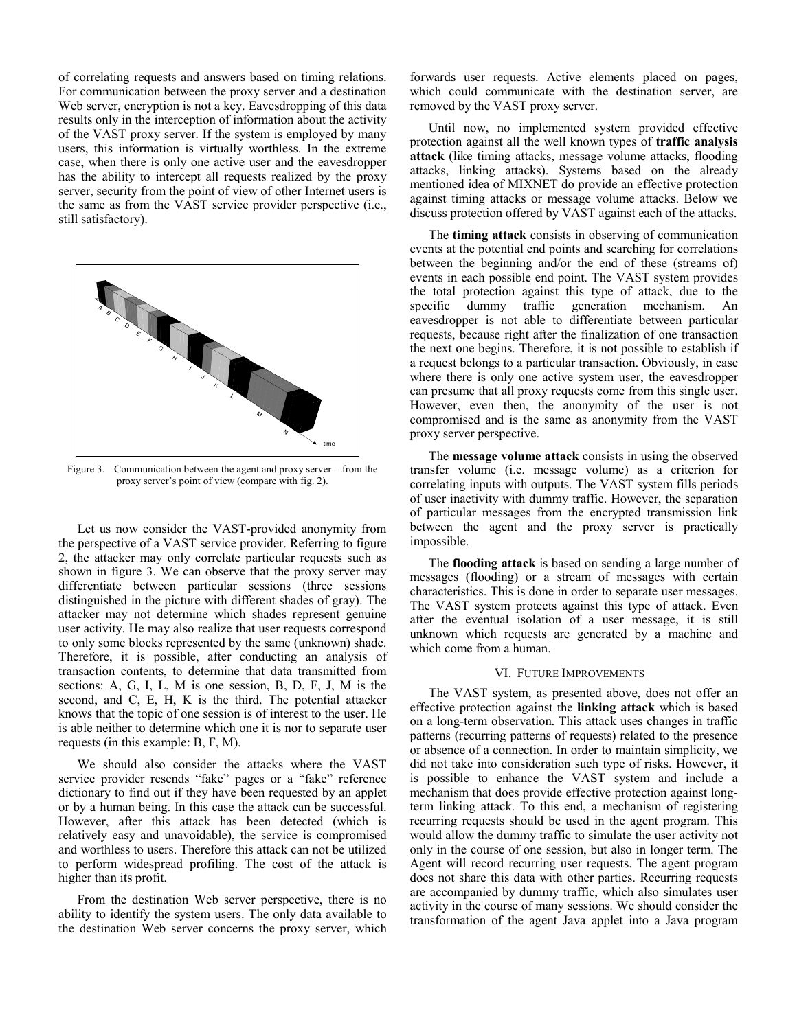of correlating requests and answers based on timing relations. For communication between the proxy server and a destination Web server, encryption is not a key. Eavesdropping of this data results only in the interception of information about the activity of the VAST proxy server. If the system is employed by many users, this information is virtually worthless. In the extreme case, when there is only one active user and the eavesdropper has the ability to intercept all requests realized by the proxy server, security from the point of view of other Internet users is the same as from the VAST service provider perspective (i.e., still satisfactory).



Figure 3. Communication between the agent and proxy server – from the proxy server's point of view (compare with fig. 2).

Let us now consider the VAST-provided anonymity from the perspective of a VAST service provider. Referring to figure 2, the attacker may only correlate particular requests such as shown in figure 3. We can observe that the proxy server may differentiate between particular sessions (three sessions distinguished in the picture with different shades of gray). The attacker may not determine which shades represent genuine user activity. He may also realize that user requests correspond to only some blocks represented by the same (unknown) shade. Therefore, it is possible, after conducting an analysis of transaction contents, to determine that data transmitted from sections: A, G, I, L, M is one session, B, D, F, J, M is the second, and C, E, H, K is the third. The potential attacker knows that the topic of one session is of interest to the user. He is able neither to determine which one it is nor to separate user requests (in this example: B, F, M).

We should also consider the attacks where the VAST service provider resends "fake" pages or a "fake" reference dictionary to find out if they have been requested by an applet or by a human being. In this case the attack can be successful. However, after this attack has been detected (which is relatively easy and unavoidable), the service is compromised and worthless to users. Therefore this attack can not be utilized to perform widespread profiling. The cost of the attack is higher than its profit.

From the destination Web server perspective, there is no ability to identify the system users. The only data available to the destination Web server concerns the proxy server, which forwards user requests. Active elements placed on pages, which could communicate with the destination server, are removed by the VAST proxy server.

Until now, no implemented system provided effective protection against all the well known types of **traffic analysis attack** (like timing attacks, message volume attacks, flooding attacks, linking attacks). Systems based on the already mentioned idea of MIXNET do provide an effective protection against timing attacks or message volume attacks. Below we discuss protection offered by VAST against each of the attacks.

The **timing attack** consists in observing of communication events at the potential end points and searching for correlations between the beginning and/or the end of these (streams of) events in each possible end point. The VAST system provides the total protection against this type of attack, due to the specific dummy traffic generation mechanism. An eavesdropper is not able to differentiate between particular requests, because right after the finalization of one transaction the next one begins. Therefore, it is not possible to establish if a request belongs to a particular transaction. Obviously, in case where there is only one active system user, the eavesdropper can presume that all proxy requests come from this single user. However, even then, the anonymity of the user is not compromised and is the same as anonymity from the VAST proxy server perspective.

The **message volume attack** consists in using the observed transfer volume (i.e. message volume) as a criterion for correlating inputs with outputs. The VAST system fills periods of user inactivity with dummy traffic. However, the separation of particular messages from the encrypted transmission link between the agent and the proxy server is practically impossible.

The **flooding attack** is based on sending a large number of messages (flooding) or a stream of messages with certain characteristics. This is done in order to separate user messages. The VAST system protects against this type of attack. Even after the eventual isolation of a user message, it is still unknown which requests are generated by a machine and which come from a human.

### VI. FUTURE IMPROVEMENTS

The VAST system, as presented above, does not offer an effective protection against the **linking attack** which is based on a long-term observation. This attack uses changes in traffic patterns (recurring patterns of requests) related to the presence or absence of a connection. In order to maintain simplicity, we did not take into consideration such type of risks. However, it is possible to enhance the VAST system and include a mechanism that does provide effective protection against longterm linking attack. To this end, a mechanism of registering recurring requests should be used in the agent program. This would allow the dummy traffic to simulate the user activity not only in the course of one session, but also in longer term. The Agent will record recurring user requests. The agent program does not share this data with other parties. Recurring requests are accompanied by dummy traffic, which also simulates user activity in the course of many sessions. We should consider the transformation of the agent Java applet into a Java program